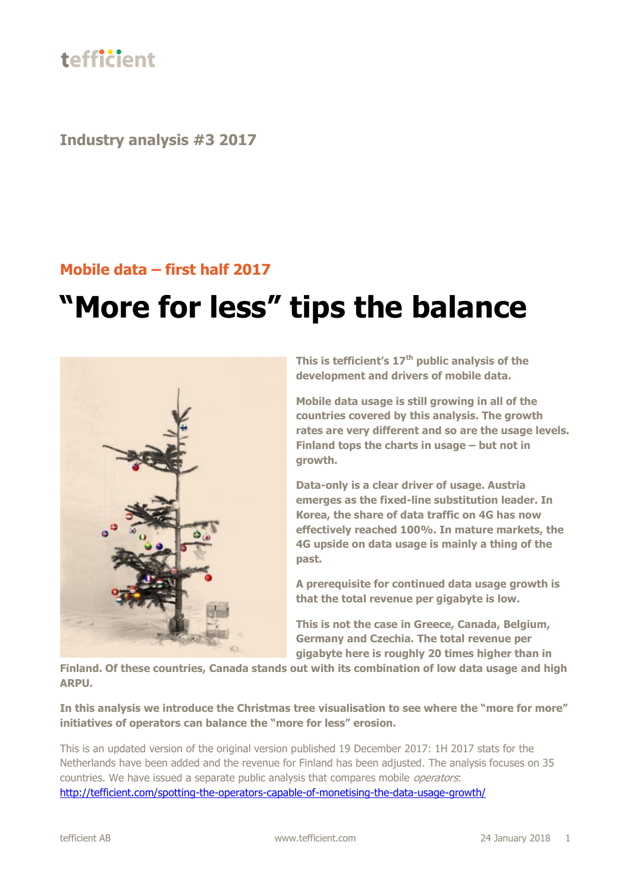

**Industry analysis #3 2017**

#### **Mobile data – first half 2017**

# **"More for less" tips the balance**



**This is tefficient's 17 th public analysis of the development and drivers of mobile data.**

**Mobile data usage is still growing in all of the countries covered by this analysis. The growth rates are very different and so are the usage levels. Finland tops the charts in usage – but not in growth.**

**Data-only is a clear driver of usage. Austria emerges as the fixed-line substitution leader. In Korea, the share of data traffic on 4G has now effectively reached 100%. In mature markets, the 4G upside on data usage is mainly a thing of the past.**

**A prerequisite for continued data usage growth is that the total revenue per gigabyte is low.**

**This is not the case in Greece, Canada, Belgium, Germany and Czechia. The total revenue per gigabyte here is roughly 20 times higher than in** 

**Finland. Of these countries, Canada stands out with its combination of low data usage and high ARPU.**

**In this analysis we introduce the Christmas tree visualisation to see where the "more for more" initiatives of operators can balance the "more for less" erosion.**

This is an updated version of the original version published 19 December 2017: 1H 2017 stats for the Netherlands have been added and the revenue for Finland has been adjusted. The analysis focuses on 35 countries. We have issued a separate public analysis that compares mobile *operators*: <http://tefficient.com/spotting-the-operators-capable-of-monetising-the-data-usage-growth/>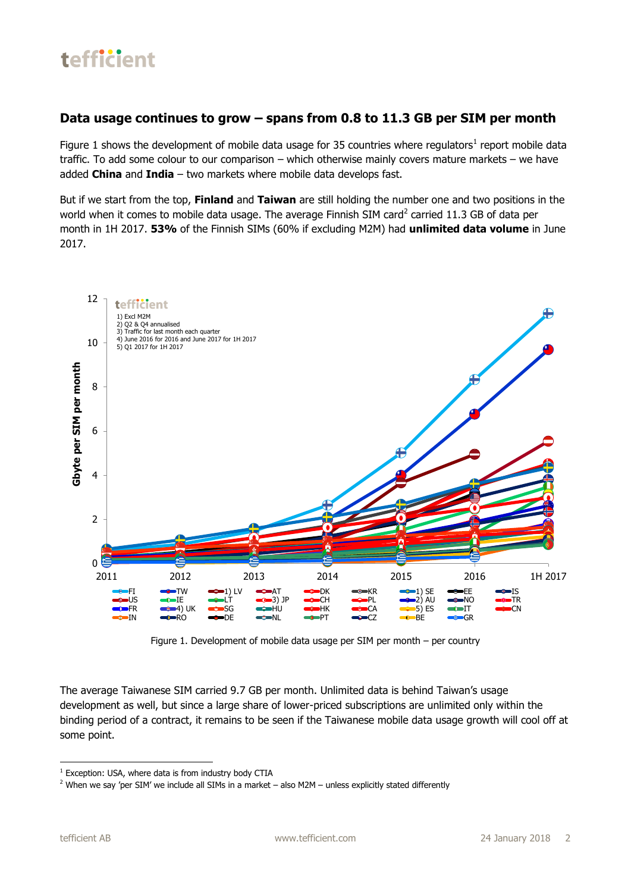#### **Data usage continues to grow – spans from 0.8 to 11.3 GB per SIM per month**

Figure 1 shows the development of mobile data usage for 35 countries where regulators<sup>1</sup> report mobile data traffic. To add some colour to our comparison – which otherwise mainly covers mature markets – we have added **China** and **India** – two markets where mobile data develops fast.

But if we start from the top, **Finland** and **Taiwan** are still holding the number one and two positions in the world when it comes to mobile data usage. The average Finnish SIM card<sup>2</sup> carried 11.3 GB of data per month in 1H 2017. **53%** of the Finnish SIMs (60% if excluding M2M) had **unlimited data volume** in June 2017.



Figure 1. Development of mobile data usage per SIM per month – per country

The average Taiwanese SIM carried 9.7 GB per month. Unlimited data is behind Taiwan's usage development as well, but since a large share of lower-priced subscriptions are unlimited only within the binding period of a contract, it remains to be seen if the Taiwanese mobile data usage growth will cool off at some point.

**.** 

<sup>&</sup>lt;sup>1</sup> Exception: USA, where data is from industry body CTIA

<sup>&</sup>lt;sup>2</sup> When we say 'per SIM' we include all SIMs in a market – also M2M – unless explicitly stated differently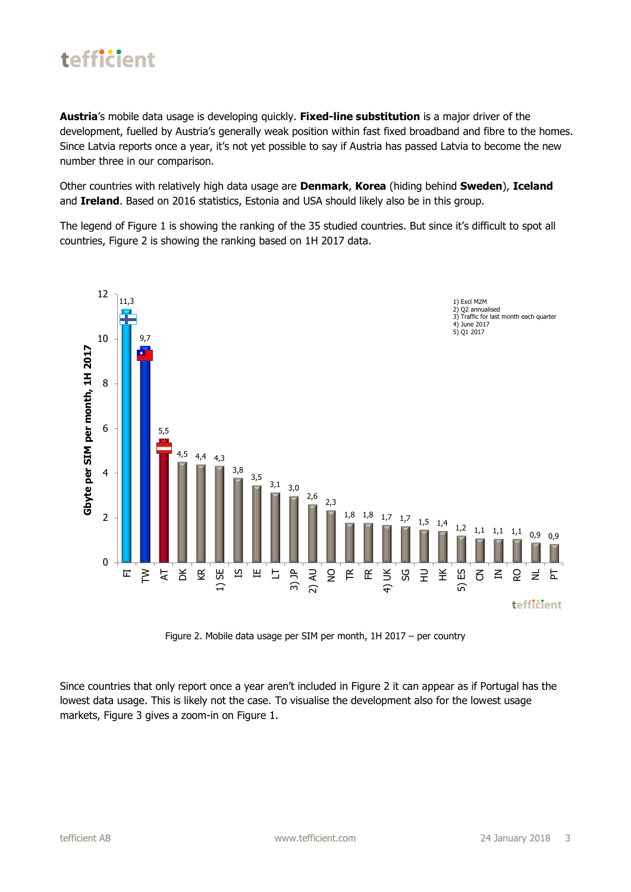

**Austria**'s mobile data usage is developing quickly. **Fixed-line substitution** is a major driver of the development, fuelled by Austria's generally weak position within fast fixed broadband and fibre to the homes. Since Latvia reports once a year, it's not yet possible to say if Austria has passed Latvia to become the new number three in our comparison.

Other countries with relatively high data usage are **Denmark**, **Korea** (hiding behind **Sweden**), **Iceland** and **Ireland**. Based on 2016 statistics, Estonia and USA should likely also be in this group.

The legend of Figure 1 is showing the ranking of the 35 studied countries. But since it's difficult to spot all countries, Figure 2 is showing the ranking based on 1H 2017 data.



Figure 2. Mobile data usage per SIM per month, 1H 2017 – per country

Since countries that only report once a year aren't included in Figure 2 it can appear as if Portugal has the lowest data usage. This is likely not the case. To visualise the development also for the lowest usage markets, Figure 3 gives a zoom-in on Figure 1.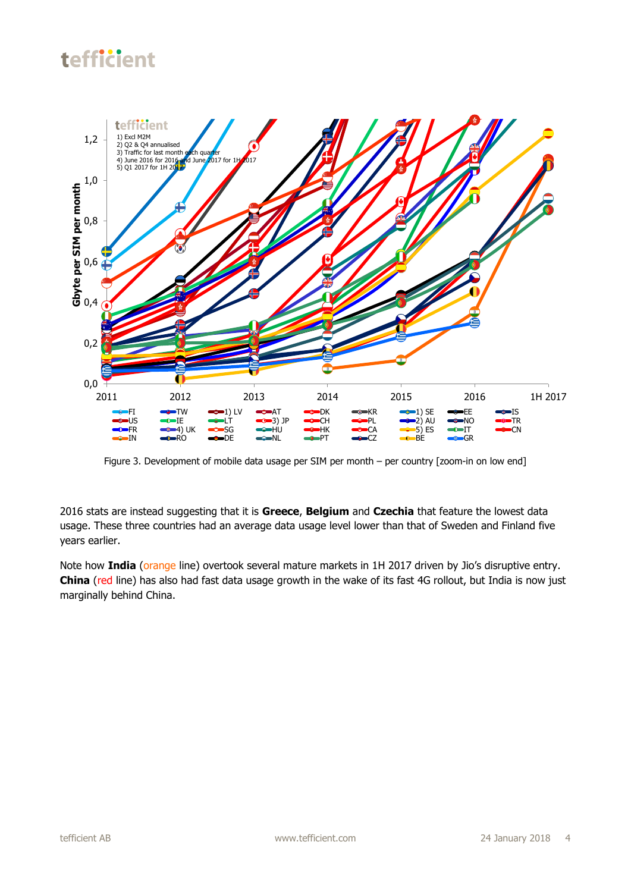

Figure 3. Development of mobile data usage per SIM per month – per country [zoom-in on low end]

2016 stats are instead suggesting that it is **Greece**, **Belgium** and **Czechia** that feature the lowest data usage. These three countries had an average data usage level lower than that of Sweden and Finland five years earlier.

Note how **India** (orange line) overtook several mature markets in 1H 2017 driven by Jio's disruptive entry. **China** (red line) has also had fast data usage growth in the wake of its fast 4G rollout, but India is now just marginally behind China.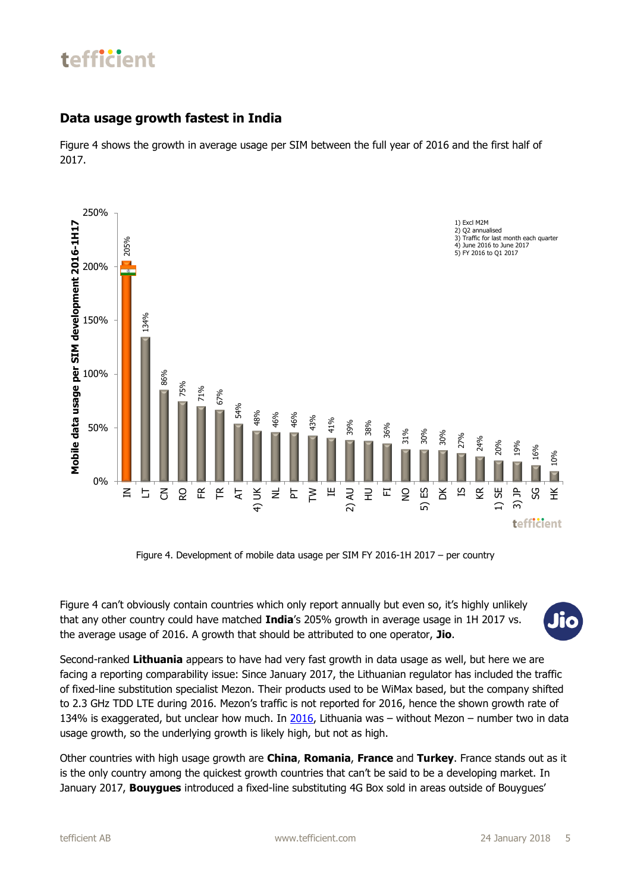#### **Data usage growth fastest in India**

Figure 4 shows the growth in average usage per SIM between the full year of 2016 and the first half of 2017.



Figure 4. Development of mobile data usage per SIM FY 2016-1H 2017 – per country

Figure 4 can't obviously contain countries which only report annually but even so, it's highly unlikely that any other country could have matched **India**'s 205% growth in average usage in 1H 2017 vs. the average usage of 2016. A growth that should be attributed to one operator, **Jio**.



Second-ranked **Lithuania** appears to have had very fast growth in data usage as well, but here we are facing a reporting comparability issue: Since January 2017, the Lithuanian regulator has included the traffic of fixed-line substitution specialist Mezon. Their products used to be WiMax based, but the company shifted to 2.3 GHz TDD LTE during 2016. Mezon's traffic is not reported for 2016, hence the shown growth rate of 134% is exaggerated, but unclear how much. In [2016,](http://tefficient.com/more-for-more-isnt-happening/) Lithuania was – without Mezon – number two in data usage growth, so the underlying growth is likely high, but not as high.

Other countries with high usage growth are **China**, **Romania**, **France** and **Turkey**. France stands out as it is the only country among the quickest growth countries that can't be said to be a developing market. In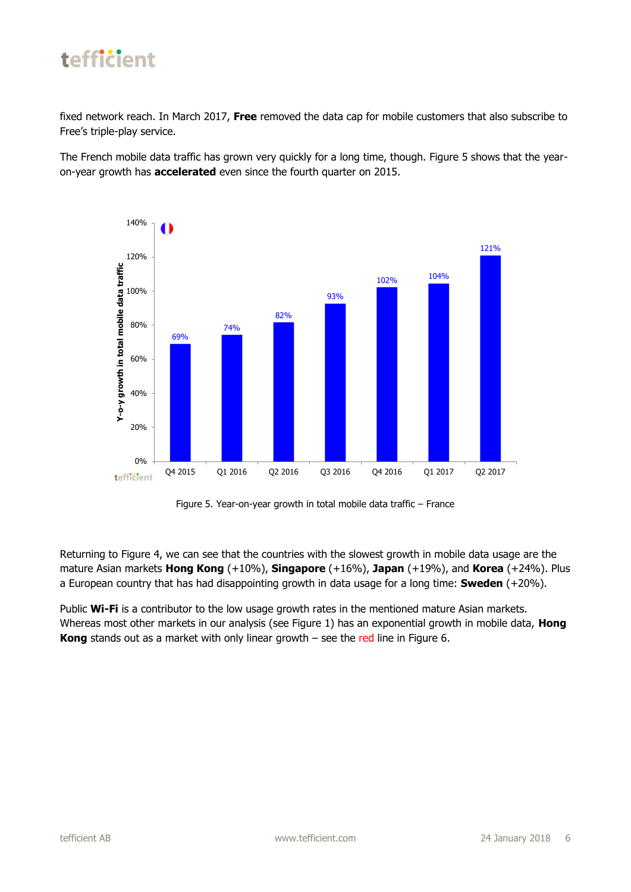

fixed network reach. In March 2017, **Free** removed the data cap for mobile customers that also subscribe to Free's triple-play service.

The French mobile data traffic has grown very quickly for a long time, though. Figure 5 shows that the yearon-year growth has **accelerated** even since the fourth quarter on 2015.



Figure 5. Year-on-year growth in total mobile data traffic – France

Returning to Figure 4, we can see that the countries with the slowest growth in mobile data usage are the mature Asian markets **Hong Kong** (+10%), **Singapore** (+16%), **Japan** (+19%), and **Korea** (+24%). Plus a European country that has had disappointing growth in data usage for a long time: **Sweden** (+20%).

Public **Wi-Fi** is a contributor to the low usage growth rates in the mentioned mature Asian markets. Whereas most other markets in our analysis (see Figure 1) has an exponential growth in mobile data, **Hong Kong** stands out as a market with only linear growth – see the red line in Figure 6.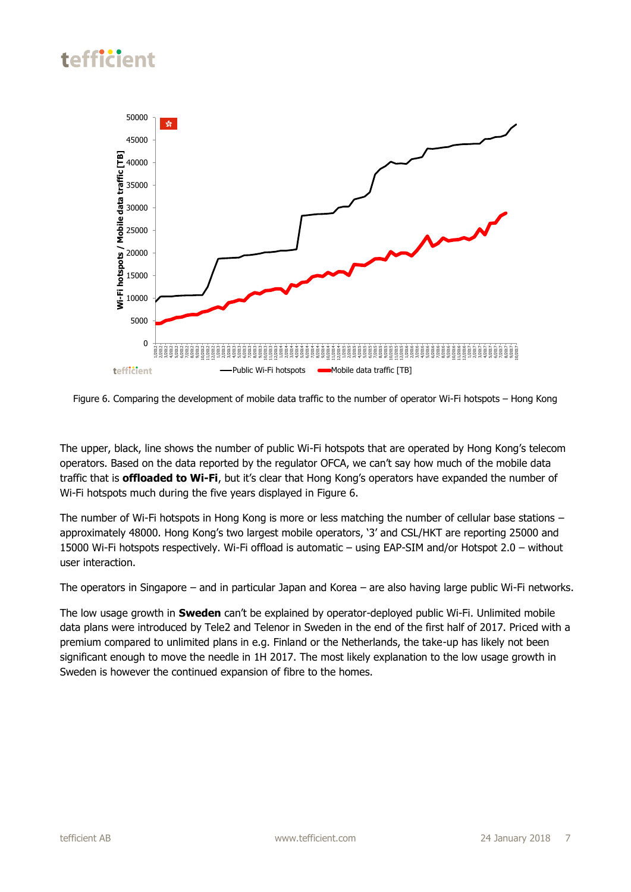

Figure 6. Comparing the development of mobile data traffic to the number of operator Wi-Fi hotspots – Hong Kong

The upper, black, line shows the number of public Wi-Fi hotspots that are operated by Hong Kong's telecom operators. Based on the data reported by the regulator OFCA, we can't say how much of the mobile data traffic that is **offloaded to Wi-Fi**, but it's clear that Hong Kong's operators have expanded the number of Wi-Fi hotspots much during the five years displayed in Figure 6.

The number of Wi-Fi hotspots in Hong Kong is more or less matching the number of cellular base stations – approximately 48000. Hong Kong's two largest mobile operators, '3' and CSL/HKT are reporting 25000 and 15000 Wi-Fi hotspots respectively. Wi-Fi offload is automatic – using EAP-SIM and/or Hotspot 2.0 – without user interaction.

The operators in Singapore – and in particular Japan and Korea – are also having large public Wi-Fi networks.

The low usage growth in **Sweden** can't be explained by operator-deployed public Wi-Fi. Unlimited mobile data plans were introduced by Tele2 and Telenor in Sweden in the end of the first half of 2017. Priced with a premium compared to unlimited plans in e.g. Finland or the Netherlands, the take-up has likely not been significant enough to move the needle in 1H 2017. The most likely explanation to the low usage growth in Sweden is however the continued expansion of fibre to the homes.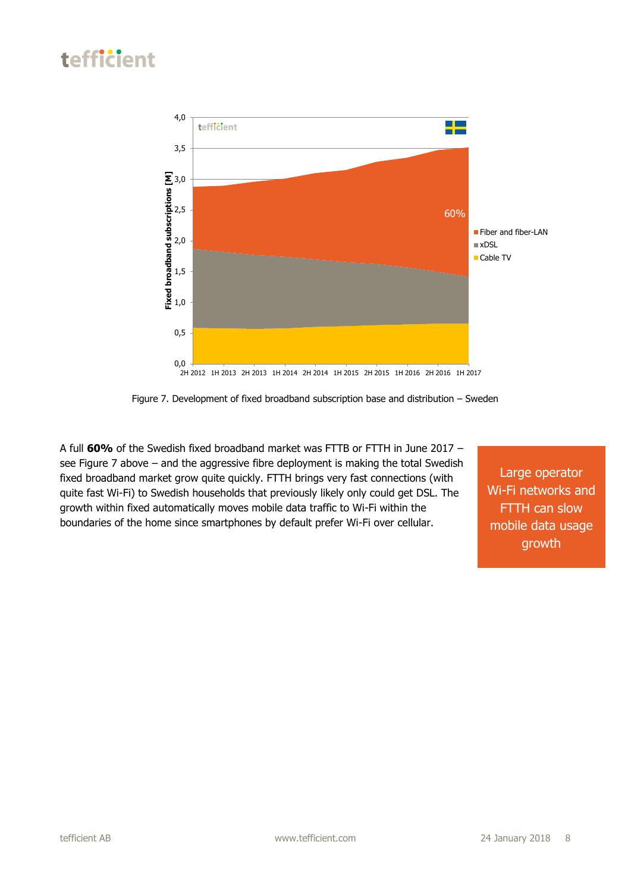

Figure 7. Development of fixed broadband subscription base and distribution – Sweden

A full **60%** of the Swedish fixed broadband market was FTTB or FTTH in June 2017 – see Figure 7 above – and the aggressive fibre deployment is making the total Swedish fixed broadband market grow quite quickly. FTTH brings very fast connections (with quite fast Wi-Fi) to Swedish households that previously likely only could get DSL. The growth within fixed automatically moves mobile data traffic to Wi-Fi within the boundaries of the home since smartphones by default prefer Wi-Fi over cellular.

Large operator Wi-Fi networks and FTTH can slow mobile data usage growth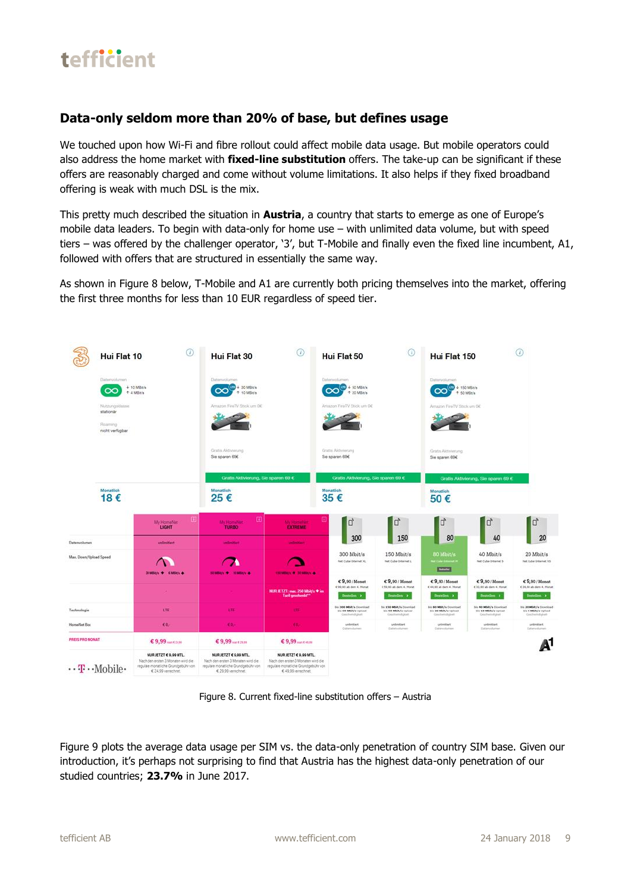

#### **Data-only seldom more than 20% of base, but defines usage**

We touched upon how Wi-Fi and fibre rollout could affect mobile data usage. But mobile operators could also address the home market with **fixed-line substitution** offers. The take-up can be significant if these offers are reasonably charged and come without volume limitations. It also helps if they fixed broadband offering is weak with much DSL is the mix.

This pretty much described the situation in **Austria**, a country that starts to emerge as one of Europe's mobile data leaders. To begin with data-only for home use – with unlimited data volume, but with speed tiers – was offered by the challenger operator, '3', but T-Mobile and finally even the fixed line incumbent, A1, followed with offers that are structured in essentially the same way.

As shown in Figure 8 below, T-Mobile and A1 are currently both pricing themselves into the market, offering the first three months for less than 10 EUR regardless of speed tier.



Figure 8. Current fixed-line substitution offers – Austria

Figure 9 plots the average data usage per SIM vs. the data-only penetration of country SIM base. Given our introduction, it's perhaps not surprising to find that Austria has the highest data-only penetration of our studied countries; **23.7%** in June 2017.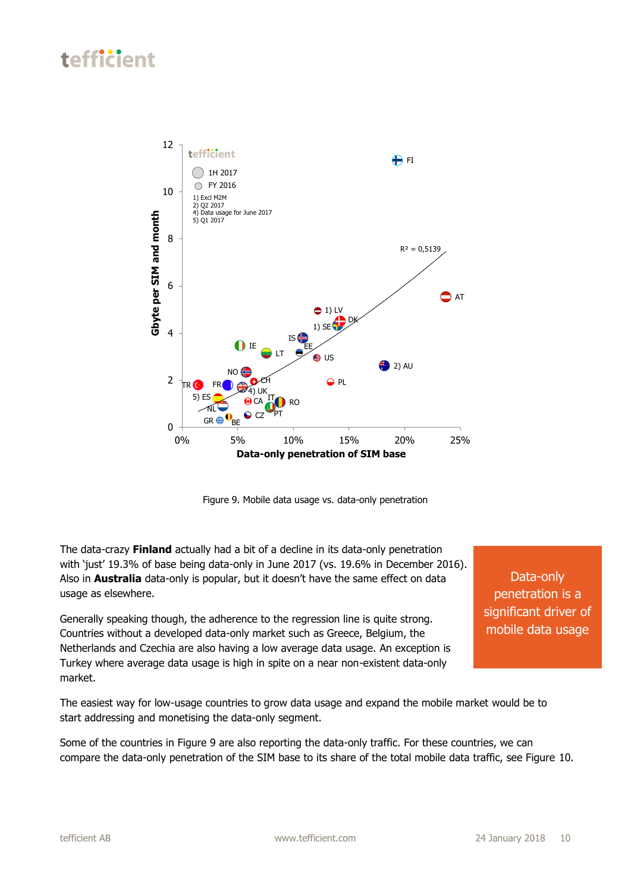

Figure 9. Mobile data usage vs. data-only penetration

The data-crazy **Finland** actually had a bit of a decline in its data-only penetration with 'just' 19.3% of base being data-only in June 2017 (vs. 19.6% in December 2016). Also in **Australia** data-only is popular, but it doesn't have the same effect on data usage as elsewhere.

Generally speaking though, the adherence to the regression line is quite strong. Countries without a developed data-only market such as Greece, Belgium, the Netherlands and Czechia are also having a low average data usage. An exception is Turkey where average data usage is high in spite on a near non-existent data-only market.

Data-only penetration is a significant driver of mobile data usage

The easiest way for low-usage countries to grow data usage and expand the mobile market would be to start addressing and monetising the data-only segment.

Some of the countries in Figure 9 are also reporting the data-only traffic. For these countries, we can compare the data-only penetration of the SIM base to its share of the total mobile data traffic, see Figure 10.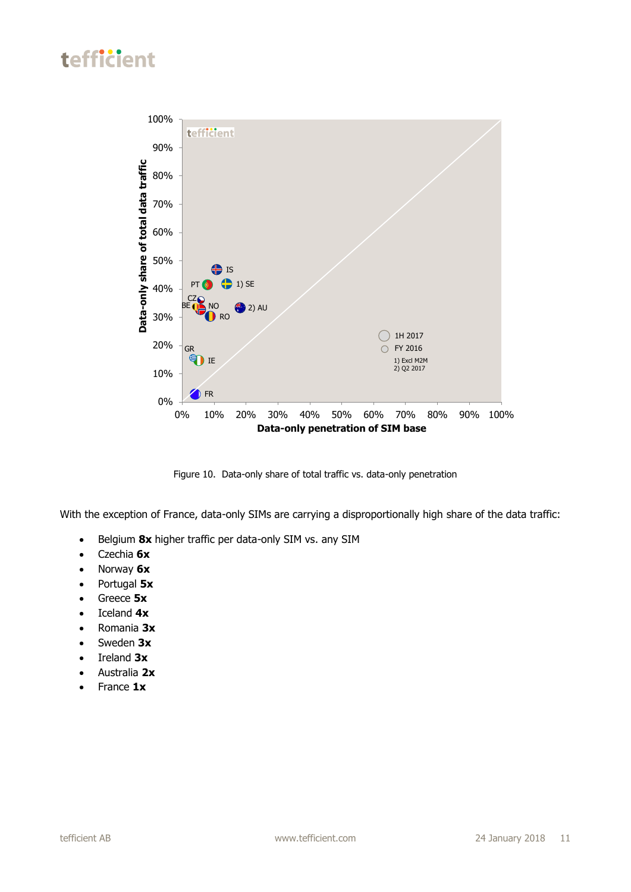

Figure 10. Data-only share of total traffic vs. data-only penetration

With the exception of France, data-only SIMs are carrying a disproportionally high share of the data traffic:

- **•** Belgium 8x higher traffic per data-only SIM vs. any SIM
- Czechia **6x**
- Norway **6x**
- Portugal **5x**
- Greece **5x**
- Iceland **4x**
- Romania **3x**
- Sweden **3x**
- Ireland 3x
- Australia **2x**
- France **1x**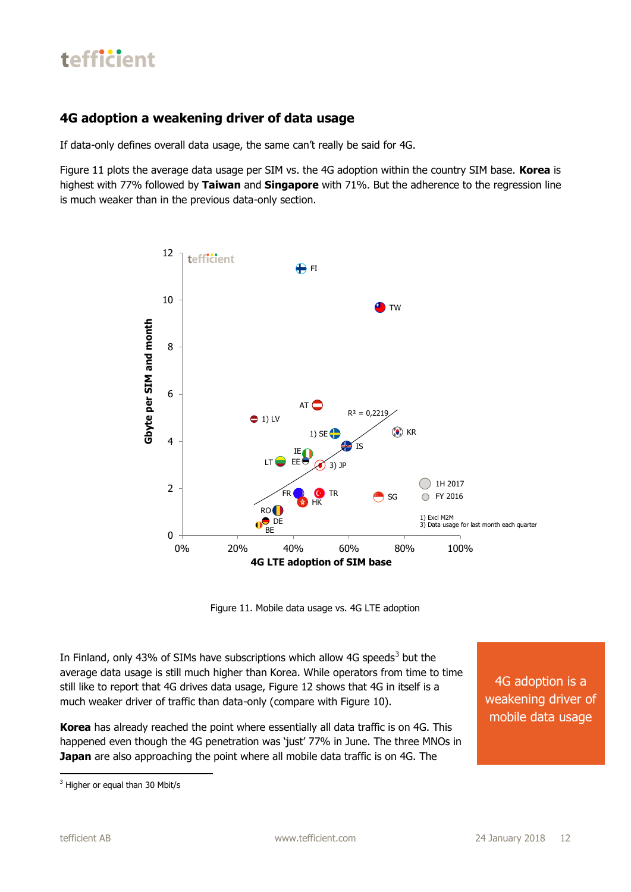

#### **4G adoption a weakening driver of data usage**

If data-only defines overall data usage, the same can't really be said for 4G.

Figure 11 plots the average data usage per SIM vs. the 4G adoption within the country SIM base. **Korea** is highest with 77% followed by **Taiwan** and **Singapore** with 71%. But the adherence to the regression line is much weaker than in the previous data-only section.



Figure 11. Mobile data usage vs. 4G LTE adoption

In Finland, only 43% of SIMs have subscriptions which allow 4G speeds<sup>3</sup> but the average data usage is still much higher than Korea. While operators from time to time still like to report that 4G drives data usage, Figure 12 shows that 4G in itself is a much weaker driver of traffic than data-only (compare with Figure 10).

**Korea** has already reached the point where essentially all data traffic is on 4G. This happened even though the 4G penetration was 'just' 77% in June. The three MNOs in **Japan** are also approaching the point where all mobile data traffic is on 4G. The

4G adoption is a weakening driver of mobile data usage

<sup>1</sup> <sup>3</sup> Higher or equal than 30 Mbit/s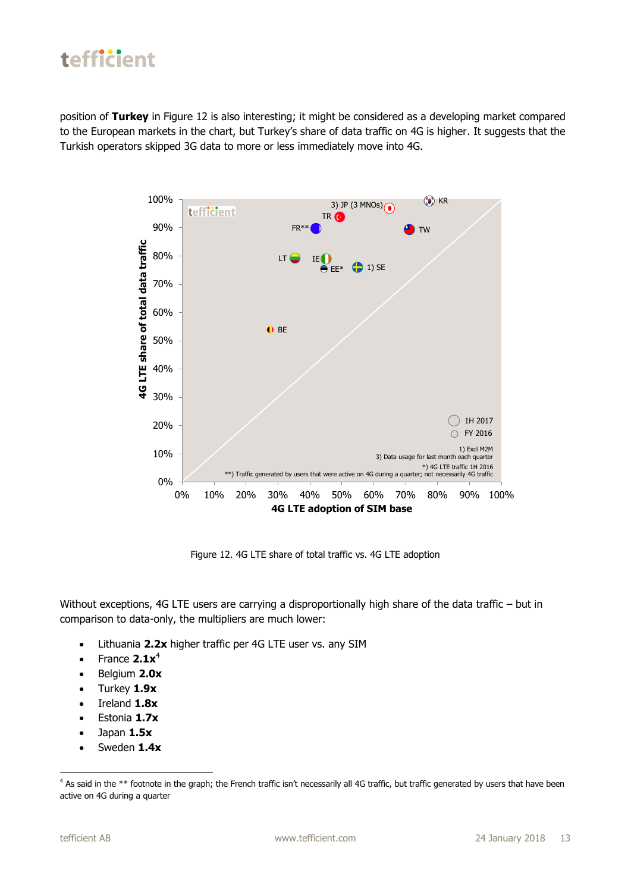position of **Turkey** in Figure 12 is also interesting; it might be considered as a developing market compared to the European markets in the chart, but Turkey's share of data traffic on 4G is higher. It suggests that the Turkish operators skipped 3G data to more or less immediately move into 4G.



Figure 12. 4G LTE share of total traffic vs. 4G LTE adoption

Without exceptions, 4G LTE users are carrying a disproportionally high share of the data traffic – but in comparison to data-only, the multipliers are much lower:

- Lithuania **2.2x** higher traffic per 4G LTE user vs. any SIM
- $\bullet$  France  $2.1x^4$
- Belgium **2.0x**
- Turkey **1.9x**
- $\bullet$  Ireland  $1.8x$
- Estonia **1.7x**
- Japan **1.5x**
- Sweden **1.4x**

1

<sup>&</sup>lt;sup>4</sup> As said in the \*\* footnote in the graph; the French traffic isn't necessarily all 4G traffic, but traffic generated by users that have been active on 4G during a quarter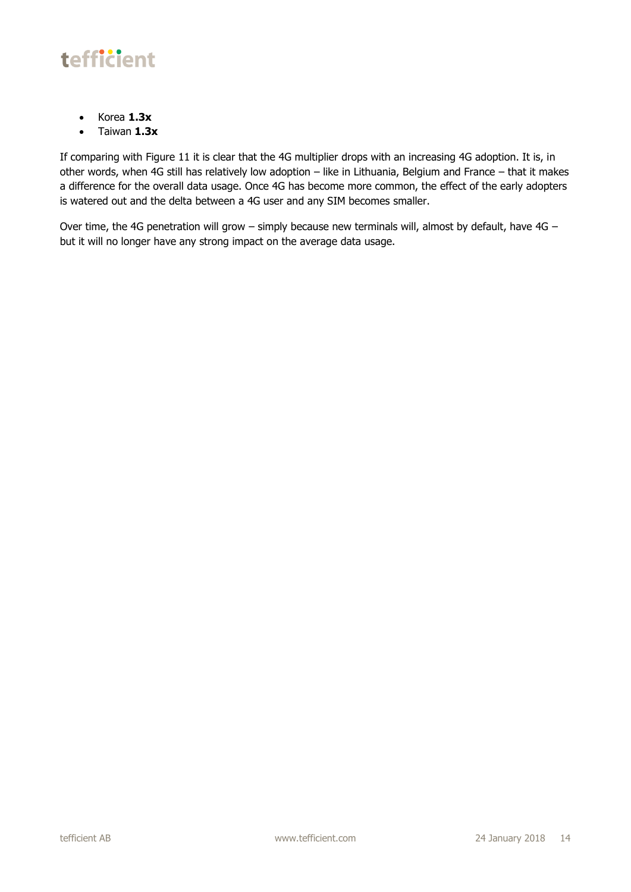

- Korea **1.3x**
- Taiwan **1.3x**

If comparing with Figure 11 it is clear that the 4G multiplier drops with an increasing 4G adoption. It is, in other words, when 4G still has relatively low adoption – like in Lithuania, Belgium and France – that it makes a difference for the overall data usage. Once 4G has become more common, the effect of the early adopters is watered out and the delta between a 4G user and any SIM becomes smaller.

Over time, the 4G penetration will grow – simply because new terminals will, almost by default, have 4G – but it will no longer have any strong impact on the average data usage.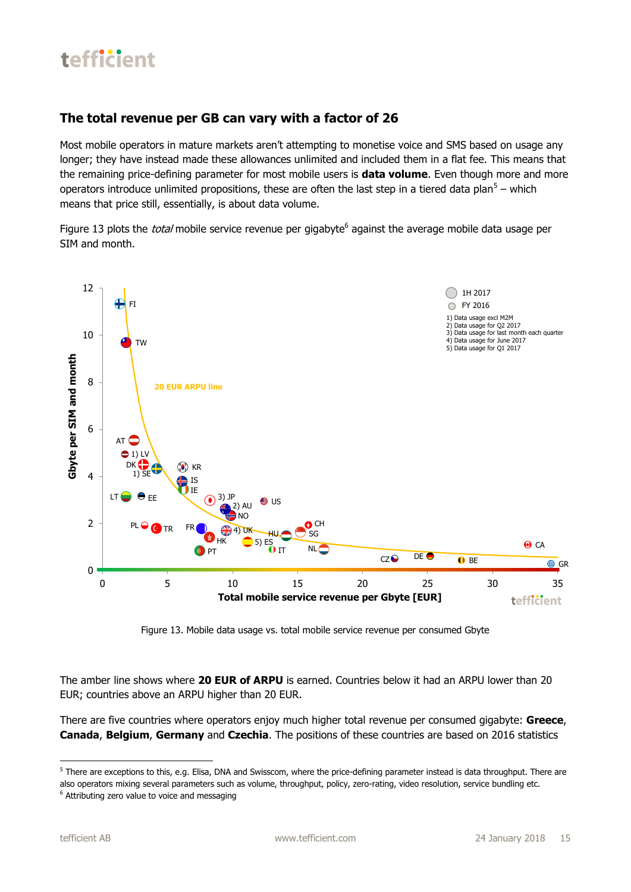#### **The total revenue per GB can vary with a factor of 26**

Most mobile operators in mature markets aren't attempting to monetise voice and SMS based on usage any longer; they have instead made these allowances unlimited and included them in a flat fee. This means that the remaining price-defining parameter for most mobile users is **data volume**. Even though more and more operators introduce unlimited propositions, these are often the last step in a tiered data plan<sup>5</sup> – which means that price still, essentially, is about data volume.

Figure 13 plots the *total* mobile service revenue per gigabyte<sup>6</sup> against the average mobile data usage per SIM and month.



Figure 13. Mobile data usage vs. total mobile service revenue per consumed Gbyte

The amber line shows where **20 EUR of ARPU** is earned. Countries below it had an ARPU lower than 20 EUR; countries above an ARPU higher than 20 EUR.

There are five countries where operators enjoy much higher total revenue per consumed gigabyte: **Greece**, **Canada**, **Belgium**, **Germany** and **Czechia**. The positions of these countries are based on 2016 statistics

**.** 

<sup>&</sup>lt;sup>5</sup> There are exceptions to this, e.g. Elisa, DNA and Swisscom, where the price-defining parameter instead is data throughput. There are also operators mixing several parameters such as volume, throughput, policy, zero-rating, video resolution, service bundling etc. <sup>6</sup> Attributing zero value to voice and messaging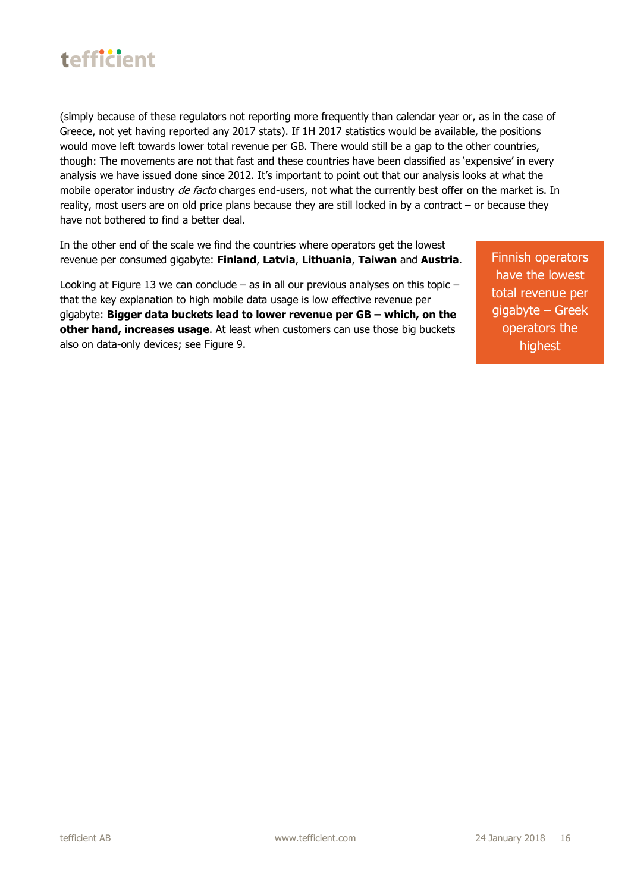

(simply because of these regulators not reporting more frequently than calendar year or, as in the case of Greece, not yet having reported any 2017 stats). If 1H 2017 statistics would be available, the positions would move left towards lower total revenue per GB. There would still be a gap to the other countries, though: The movements are not that fast and these countries have been classified as 'expensive' in every analysis we have issued done since 2012. It's important to point out that our analysis looks at what the mobile operator industry de facto charges end-users, not what the currently best offer on the market is. In reality, most users are on old price plans because they are still locked in by a contract – or because they have not bothered to find a better deal.

In the other end of the scale we find the countries where operators get the lowest revenue per consumed gigabyte: **Finland**, **Latvia**, **Lithuania**, **Taiwan** and **Austria**.

Looking at Figure 13 we can conclude – as in all our previous analyses on this topic – that the key explanation to high mobile data usage is low effective revenue per gigabyte: **Bigger data buckets lead to lower revenue per GB – which, on the other hand, increases usage**. At least when customers can use those big buckets also on data-only devices; see Figure 9.

Finnish operators have the lowest total revenue per gigabyte – Greek operators the highest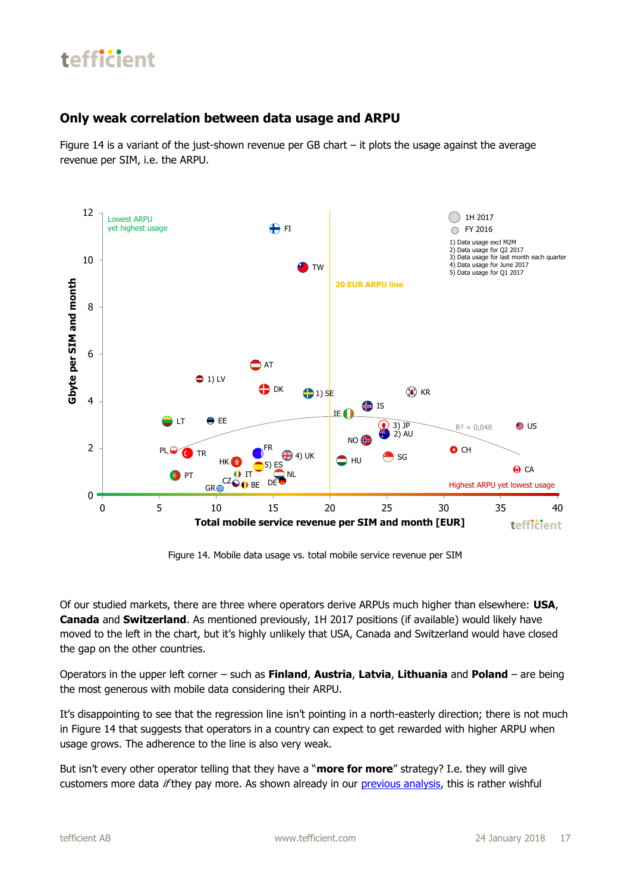#### **Only weak correlation between data usage and ARPU**

Figure 14 is a variant of the just-shown revenue per GB chart – it plots the usage against the average revenue per SIM, i.e. the ARPU.



Figure 14. Mobile data usage vs. total mobile service revenue per SIM

Of our studied markets, there are three where operators derive ARPUs much higher than elsewhere: **USA**, **Canada** and **Switzerland**. As mentioned previously, 1H 2017 positions (if available) would likely have moved to the left in the chart, but it's highly unlikely that USA, Canada and Switzerland would have closed the gap on the other countries.

Operators in the upper left corner – such as **Finland**, **Austria**, **Latvia**, **Lithuania** and **Poland** – are being the most generous with mobile data considering their ARPU.

It's disappointing to see that the regression line isn't pointing in a north-easterly direction; there is not much in Figure 14 that suggests that operators in a country can expect to get rewarded with higher ARPU when usage grows. The adherence to the line is also very weak.

But isn't every other operator telling that they have a "**more for more**" strategy? I.e. they will give customers more data *if* they pay more. As shown already in our [previous analysis,](http://tefficient.com/more-for-more-isnt-happening/) this is rather wishful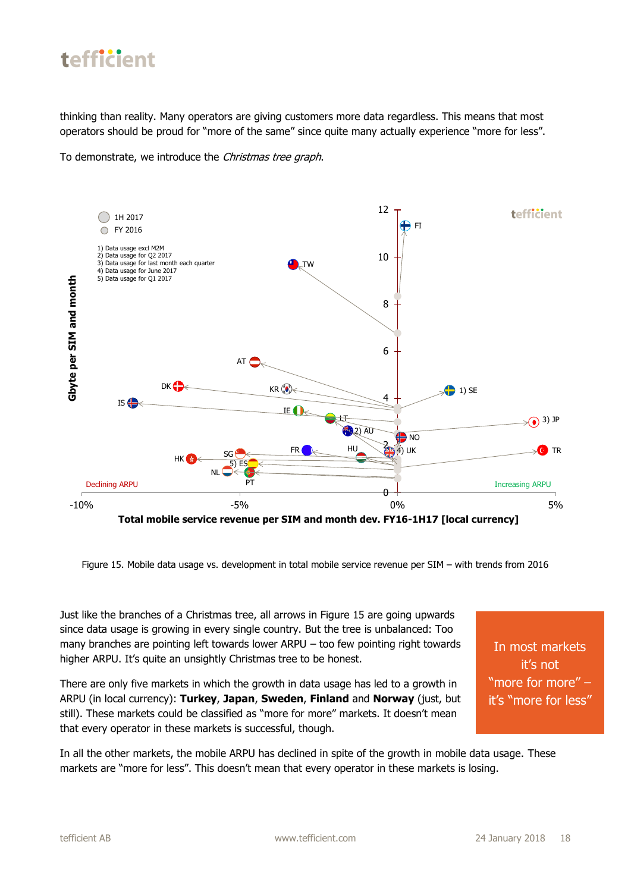

thinking than reality. Many operators are giving customers more data regardless. This means that most operators should be proud for "more of the same" since quite many actually experience "more for less".

To demonstrate, we introduce the Christmas tree graph.



Figure 15. Mobile data usage vs. development in total mobile service revenue per SIM – with trends from 2016

Just like the branches of a Christmas tree, all arrows in Figure 15 are going upwards since data usage is growing in every single country. But the tree is unbalanced: Too many branches are pointing left towards lower ARPU – too few pointing right towards higher ARPU. It's quite an unsightly Christmas tree to be honest.

There are only five markets in which the growth in data usage has led to a growth in ARPU (in local currency): **Turkey**, **Japan**, **Sweden**, **Finland** and **Norway** (just, but still). These markets could be classified as "more for more" markets. It doesn't mean that every operator in these markets is successful, though.

In most markets it's not "more for more" – it's "more for less"

In all the other markets, the mobile ARPU has declined in spite of the growth in mobile data usage. These markets are "more for less". This doesn't mean that every operator in these markets is losing.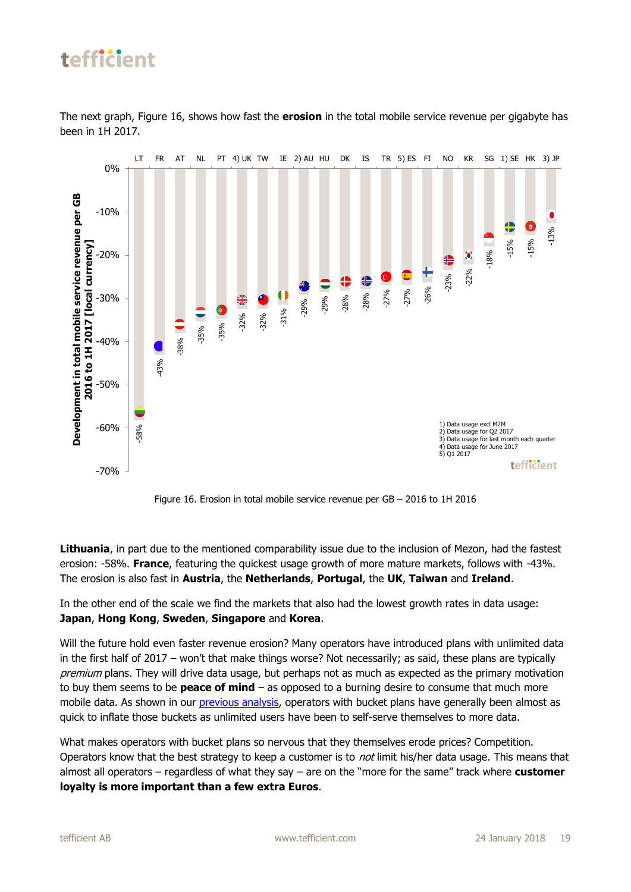The next graph, Figure 16, shows how fast the **erosion** in the total mobile service revenue per gigabyte has been in 1H 2017.



Figure 16. Erosion in total mobile service revenue per GB – 2016 to 1H 2016

**Lithuania**, in part due to the mentioned comparability issue due to the inclusion of Mezon, had the fastest erosion: -58%. **France**, featuring the quickest usage growth of more mature markets, follows with -43%. The erosion is also fast in **Austria**, the **Netherlands**, **Portugal**, the **UK**, **Taiwan** and **Ireland**.

In the other end of the scale we find the markets that also had the lowest growth rates in data usage: **Japan**, **Hong Kong**, **Sweden**, **Singapore** and **Korea**.

Will the future hold even faster revenue erosion? Many operators have introduced plans with unlimited data in the first half of 2017 – won't that make things worse? Not necessarily; as said, these plans are typically premium plans. They will drive data usage, but perhaps not as much as expected as the primary motivation to buy them seems to be **peace of mind** – as opposed to a burning desire to consume that much more mobile data. As shown in our [previous analysis,](http://tefficient.com/more-for-more-isnt-happening/) operators with bucket plans have generally been almost as quick to inflate those buckets as unlimited users have been to self-serve themselves to more data.

What makes operators with bucket plans so nervous that they themselves erode prices? Competition. Operators know that the best strategy to keep a customer is to *not* limit his/her data usage. This means that almost all operators – regardless of what they say – are on the "more for the same" track where **customer loyalty is more important than a few extra Euros**.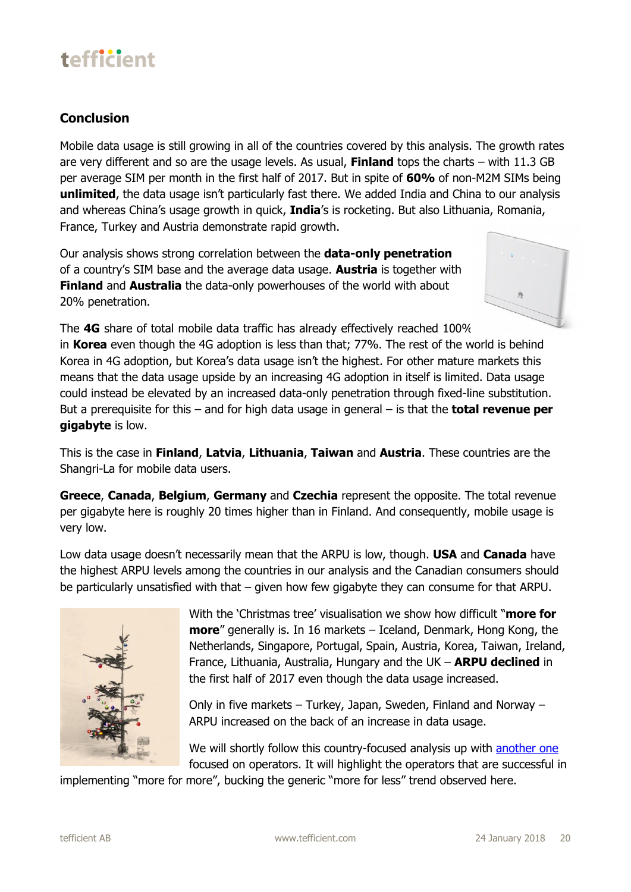#### **Conclusion**

Mobile data usage is still growing in all of the countries covered by this analysis. The growth rates are very different and so are the usage levels. As usual, **Finland** tops the charts – with 11.3 GB per average SIM per month in the first half of 2017. But in spite of **60%** of non-M2M SIMs being **unlimited**, the data usage isn't particularly fast there. We added India and China to our analysis and whereas China's usage growth in quick, **India**'s is rocketing. But also Lithuania, Romania, France, Turkey and Austria demonstrate rapid growth.

Our analysis shows strong correlation between the **data-only penetration** of a country's SIM base and the average data usage. **Austria** is together with **Finland** and **Australia** the data-only powerhouses of the world with about 20% penetration.



The **4G** share of total mobile data traffic has already effectively reached 100% in **Korea** even though the 4G adoption is less than that; 77%. The rest of the world is behind Korea in 4G adoption, but Korea's data usage isn't the highest. For other mature markets this means that the data usage upside by an increasing 4G adoption in itself is limited. Data usage could instead be elevated by an increased data-only penetration through fixed-line substitution. But a prerequisite for this – and for high data usage in general – is that the **total revenue per gigabyte** is low.

This is the case in **Finland**, **Latvia**, **Lithuania**, **Taiwan** and **Austria**. These countries are the Shangri-La for mobile data users.

**Greece**, **Canada**, **Belgium**, **Germany** and **Czechia** represent the opposite. The total revenue per gigabyte here is roughly 20 times higher than in Finland. And consequently, mobile usage is very low.

Low data usage doesn't necessarily mean that the ARPU is low, though. **USA** and **Canada** have the highest ARPU levels among the countries in our analysis and the Canadian consumers should be particularly unsatisfied with that – given how few gigabyte they can consume for that ARPU.



With the 'Christmas tree' visualisation we show how difficult "**more for more**" generally is. In 16 markets – Iceland, Denmark, Hong Kong, the Netherlands, Singapore, Portugal, Spain, Austria, Korea, Taiwan, Ireland, France, Lithuania, Australia, Hungary and the UK – **ARPU declined** in the first half of 2017 even though the data usage increased.

Only in five markets – Turkey, Japan, Sweden, Finland and Norway – ARPU increased on the back of an increase in data usage.

We will shortly follow this country-focused analysis up with [another one](http://tefficient.com/spotting-the-operators-capable-of-monetising-the-data-usage-growth/) focused on operators. It will highlight the operators that are successful in

implementing "more for more", bucking the generic "more for less" trend observed here.